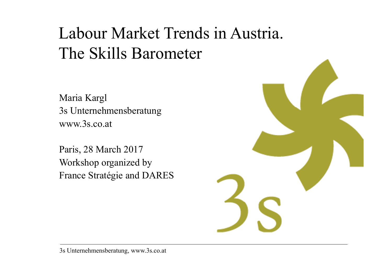# Labour Market Trends in Austria. The Skills Barometer

Maria Kargl 3s Unternehmensberatung www.3s.co.at

Paris, 28 March 2017 Workshop organized by France Stratégie and DARES

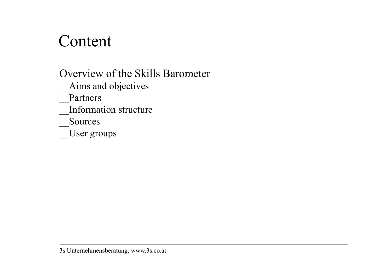## Content

Overview of the Skills Barometer \_\_Aims and objectives \_\_Partners **Information structure** \_\_Sources \_\_User groups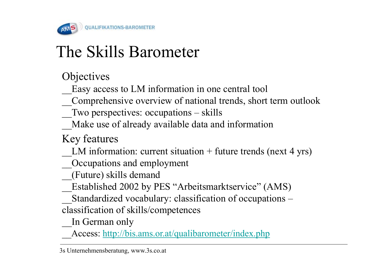

# The Skills Barometer

**Objectives** 

Easy access to LM information in one central tool

\_\_Comprehensive overview of national trends, short term outlook

\_\_Two perspectives: occupations – skills

Make use of already available data and information

Key features

LM information: current situation  $+$  future trends (next 4 yrs)

\_\_Occupations and employment

\_\_(Future) skills deman d

Established 2002 by PES "Arbeitsmarktservice" (AMS)

 $\sim$ Standardized vocabulary: classification of occupations  $\sim$ 

classification of skills/competences

In German only

Access: http://bis.ams.or.at/qualibarometer/index.php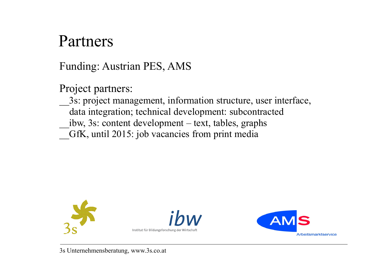### Partners

Funding: Austrian PES, AMS

Project partners:

\_\_3s: project management, information structure, user interface, data integration; technical development: subcontracted \_\_ibw, 3s: content development – text, tables, graphs GfK, until 2015: job vacancies from print media

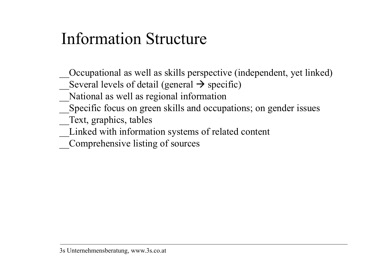# Information Structure

- Occupational as well as skills perspective (independent, yet linked)
- Several levels of detail (general  $\rightarrow$  specific)
- \_\_National as well as regional information
- Specific focus on green skills and occupations; on gender issues
- Text, graphics, tables
- \_\_Linked with information systems of related content
- \_\_Comprehensive listing of sources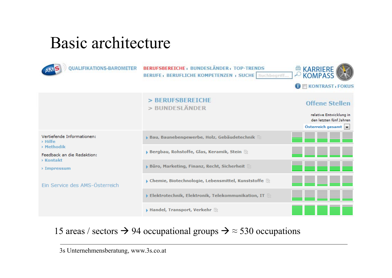## Basic architecture

| OUALIFIKATIONS-BAROM                                                                                                                                                    | BERUFSBEREICHE : BUNDESLÄNDER : TOP-TRENDS<br><b>BERUFE: BERUFLICHE KOMPETENZEN : SUCHE Suchbegriff</b> | <b>E KARRIERE</b><br><b>KONTRAST , FOKUS</b>                                                     |
|-------------------------------------------------------------------------------------------------------------------------------------------------------------------------|---------------------------------------------------------------------------------------------------------|--------------------------------------------------------------------------------------------------|
|                                                                                                                                                                         | > BERUFSBEREICHE<br>> BUNDESLÄNDER                                                                      | <b>Offene Stellen</b><br>relative Entwicklung in<br>den letzten fünf Jahren<br>Österreich gesamt |
| Vertiefende Informationen:<br>$>$ Hilfe<br>> Methodik<br>Feedback an die Redaktion:<br><b>&gt; Kontakt</b><br>$\rightarrow$ Impressum<br>Ein Service des AMS-Österreich | ▶ Bau, Baunebengewerbe, Holz, Gebäudetechnik E                                                          |                                                                                                  |
|                                                                                                                                                                         | <b>&gt; Bergbau, Rohstoffe, Glas, Keramik, Stein</b>                                                    |                                                                                                  |
|                                                                                                                                                                         | $\triangleright$ Büro, Marketing, Finanz, Recht, Sicherheit $\triangleright$                            | E E E I                                                                                          |
|                                                                                                                                                                         | $\blacktriangleright$ Chemie, Biotechnologie, Lebensmittel, Kunststoffe $\mathop{\mathbb{R}}$           |                                                                                                  |
|                                                                                                                                                                         | $\blacktriangleright$ Elektrotechnik, Elektronik, Telekommunikation, IT $\mathbb{R}$                    |                                                                                                  |
|                                                                                                                                                                         | $\blacktriangleright$ Handel, Transport, Verkehr $\mathop\boxplus$                                      |                                                                                                  |

15 areas / sectors  $\rightarrow$  94 occupational groups  $\rightarrow \approx$  530 occupations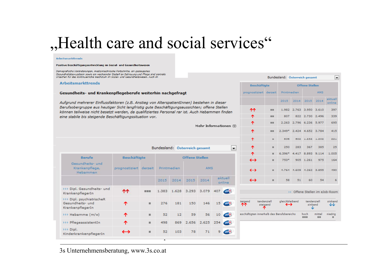## "Health care and social services"

### Arbeitsmarkttrends

### Positive Beschäftigungsentwicklung im Sozial- und Gesundheitswesen

Demografische Veränderungen, medizintechnische Fortschritte, ein gesteigertes Gesundheitsbewusstsein sowie ein wachsender Bedarf an Betreuung und Pflege sind zentrale Ursachen für das kontinuierliche Wachstum im Sozial- und Gesundheitswesen. Auch im

### **Arbeitsmarkttrends**

### Gesundheits- und Krankenpflegeberufe weiterhin nachgefragt

Aufgrund mehrerer Einflussfaktoren (z.B. Anstieg von AlterspatientInnen) bestehen in dieser Berufsobergruppe aus heutiger Sicht langfristig gute Beschäftigungsaussichten; offene Stellen können teilweise nicht besetzt werden, da qualifiziertes Personal rar ist. Auch Hebammen finden

| eine stabile bis steigende Beschäftigungssituation vor.           |                        |     |                           |      |                               | ↑                 | ■■                | 807               |                                           | 822 2.730 2.496          |                                     | 339 |                             |                     |                                |
|-------------------------------------------------------------------|------------------------|-----|---------------------------|------|-------------------------------|-------------------|-------------------|-------------------|-------------------------------------------|--------------------------|-------------------------------------|-----|-----------------------------|---------------------|--------------------------------|
| Mehr Informationen ⊠                                              |                        |     |                           |      |                               |                   | 个                 | <b>COLL</b>       |                                           | 2.263 2.796 6.236 5.977  |                                     |     | 695                         |                     |                                |
|                                                                   |                        |     |                           |      |                               |                   |                   | 个                 | <b>COL</b>                                | 2.349* 2.424 4.652 3.784 |                                     |     |                             | 415                 |                                |
|                                                                   |                        |     |                           |      |                               |                   |                   |                   | 不                                         | m.                       | 858                                 |     | 602 1.232 1.202             |                     | 221                            |
|                                                                   |                        |     |                           |      | Bundesland: Österreich gesamt |                   |                   | le.               | ተ                                         | m.                       | 250                                 | 283 | 367                         | 385                 | 25                             |
|                                                                   |                        |     |                           |      |                               |                   |                   |                   | ኍ                                         | $\blacksquare$           | $6.396*$                            |     | 4.417 8.893 9.114           |                     | 1.005                          |
| <b>Berufe</b>                                                     | <b>Beschäftigte</b>    |     | <b>Offene Stellen</b>     |      |                               |                   | $\leftrightarrow$ | m.                | $753*$                                    |                          | 905 1.261                           | 975 | 164                         |                     |                                |
| Gesundheits- und<br>Krankenpflege,<br>Hebammen                    | prognostiziert derzeit |     | Printmedien<br><b>AMS</b> |      |                               | $\leftrightarrow$ | m.                |                   | 4.764 4.609 4.262 3.855                   |                          |                                     | 490 |                             |                     |                                |
|                                                                   |                        |     | 2015                      | 2014 | 2015                          | 2014              |                   | aktuell<br>online | $\leftrightarrow$                         | $\mathbf{H}$             | 58                                  | 51  | 60                          | 54                  | 6                              |
| >>> Dipl. Gesundheits- und<br>KrankenpflegerIn                    | ተተ                     | 田田田 | 1.383                     |      | 1.628 3.293 3.079 407         |                   |                   | <b>AMS</b>        |                                           |                          |                                     |     |                             |                     | >> Offene Stellen im eJob-Room |
| >>> Dipl. psychiatrischeR<br>Gesundheits- und<br>KrankenpflegerIn | ↑                      | ٠   | 276                       | 181  | 150                           | 146               | 15                | <b>AND</b>        | teigend<br>ተተ                             | tendenziell<br>steigend  | gleichbleibend<br>$\leftrightarrow$ |     | tendenziell<br>sinkend<br>◡ |                     | sinkend<br>₩                   |
| >>> Hebamme (m/w)                                                 | ᠰ                      | ш   | 52                        | 12   | 59                            | 56                | 10 <sub>1</sub>   | <b>AMS</b>        | eschäftigten innerhalb des Berufsbereichs |                          |                                     |     | hoch<br><b>HER</b>          | mittel<br><b>BB</b> | niedrig<br>٠                   |
| >>> PflegeassistentIn                                             | ᠰ                      | ٠   | 498                       | 869  |                               | 2.656 2.625       | 254               | AMS               |                                           |                          |                                     |     |                             |                     |                                |
| >>> Dipl.<br>KinderkrankenpflegerIn                               | $\leftrightarrow$      | ш   | 52                        | 103  | 78                            | 71                | 9.                | AM <sup>S</sup>   |                                           |                          |                                     |     |                             |                     |                                |
|                                                                   |                        |     | л.                        |      |                               |                   |                   |                   |                                           |                          |                                     |     |                             |                     |                                |

Bundesland: Österreich gesamt

Offene Stellen

2015 2014 2015 2014

WWW. 1.982 2.763 3.950 3.610

AMS

Beschäftigte

ሱሱ

prognostiziert derzeit Printmedien

 $\overline{\phantom{a}}$ 

aktuell

online

397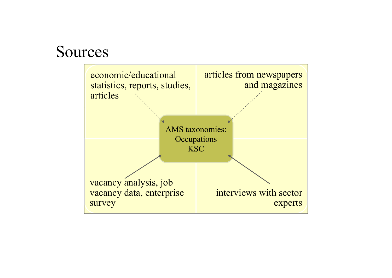### Sources

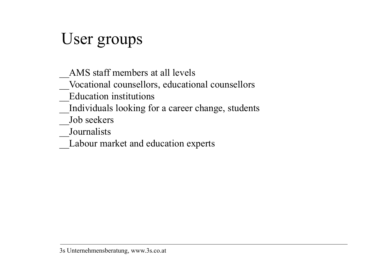# User groups

 $\mathcal{L}=\mathcal{L}^{\mathcal{L}}$ AMS staff members at all levels

\_\_Vocational counsellors, educational counsellors

\_\_Education institutions

Individuals looking for a career change, students

Job seekers

\_\_Journalists

\_\_Labour market and education experts